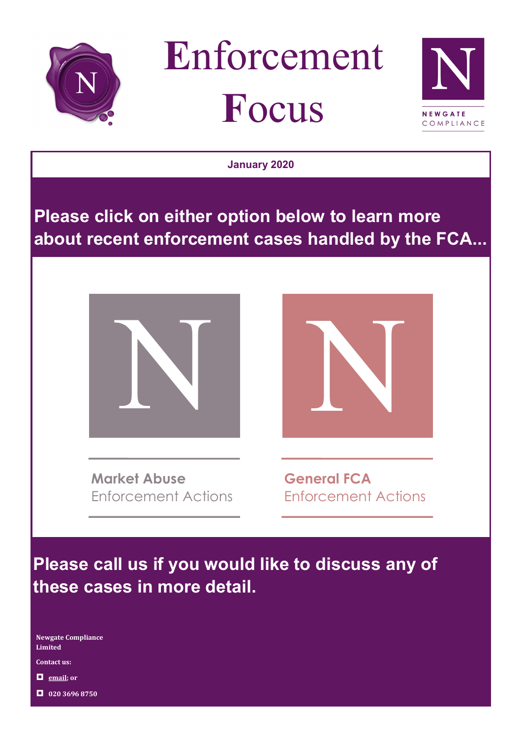





**January 2020**

# **Please click on either option below to learn more about recent enforcement cases handled by the FCA...**



**Market Abuse** Enforcement Actions



**General FCA** Enforcement Actions

**Please call us if you would like to discuss any of these cases in more detail.**

**Newgate Compliance Limited**

**Contact us:**

**[email;](mailto:info@newgatecompliance.com?subject=Email%20from%20Newgate%20News) or**

**020 3696 8750**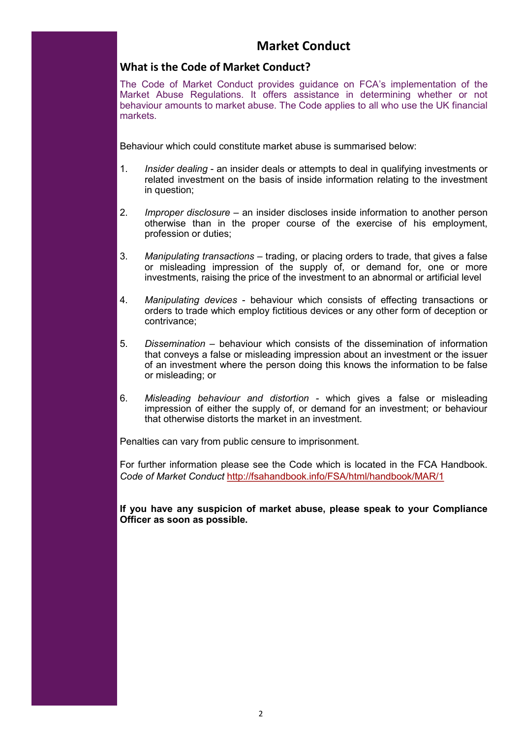### **Market Conduct**

### **What is the Code of Market Conduct?**

The Code of Market Conduct provides guidance on FCA's implementation of the Market Abuse Regulations. It offers assistance in determining whether or not behaviour amounts to market abuse. The Code applies to all who use the UK financial markets.

Behaviour which could constitute market abuse is summarised below:

- 1. *Insider dealing* an insider deals or attempts to deal in qualifying investments or related investment on the basis of inside information relating to the investment in question;
- 2. *Improper disclosure*  an insider discloses inside information to another person otherwise than in the proper course of the exercise of his employment, profession or duties;
- 3. *Manipulating transactions*  trading, or placing orders to trade, that gives a false or misleading impression of the supply of, or demand for, one or more investments, raising the price of the investment to an abnormal or artificial level
- 4. *Manipulating devices* behaviour which consists of effecting transactions or orders to trade which employ fictitious devices or any other form of deception or contrivance;
- 5. *Dissemination –* behaviour which consists of the dissemination of information that conveys a false or misleading impression about an investment or the issuer of an investment where the person doing this knows the information to be false or misleading; or
- 6. *Misleading behaviour and distortion -* which gives a false or misleading impression of either the supply of, or demand for an investment; or behaviour that otherwise distorts the market in an investment.

Penalties can vary from public censure to imprisonment.

For further information please see the Code which is located in the FCA Handbook. *Code of Market Conduct* <http://fsahandbook.info/FSA/html/handbook/MAR/1>

**If you have any suspicion of market abuse, please speak to your Compliance Officer as soon as possible.**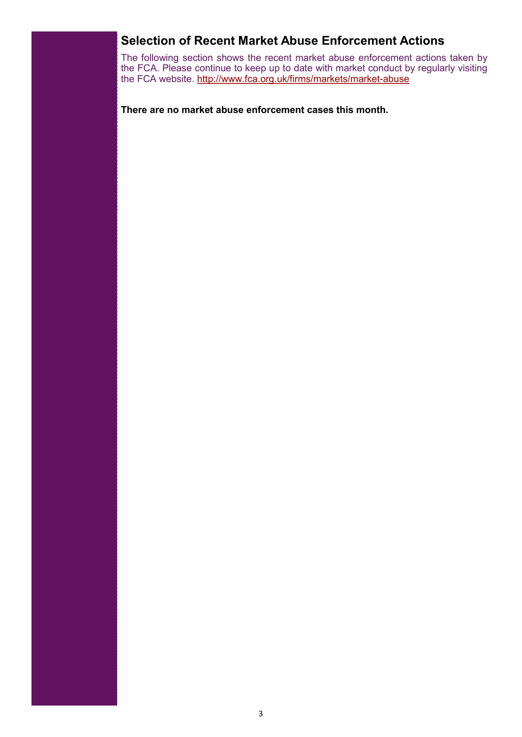### <span id="page-2-0"></span>**Selection of Recent Market Abuse Enforcement Actions**

The following section shows the recent market abuse enforcement actions taken by the FCA. Please continue to keep up to date with market conduct by regularly visiting the FCA website. [http://www.fca.org.uk/firms/markets/market](http://www.fca.org.uk/firms/markets/market-abuse)-abuse

**There are no market abuse enforcement cases this month.**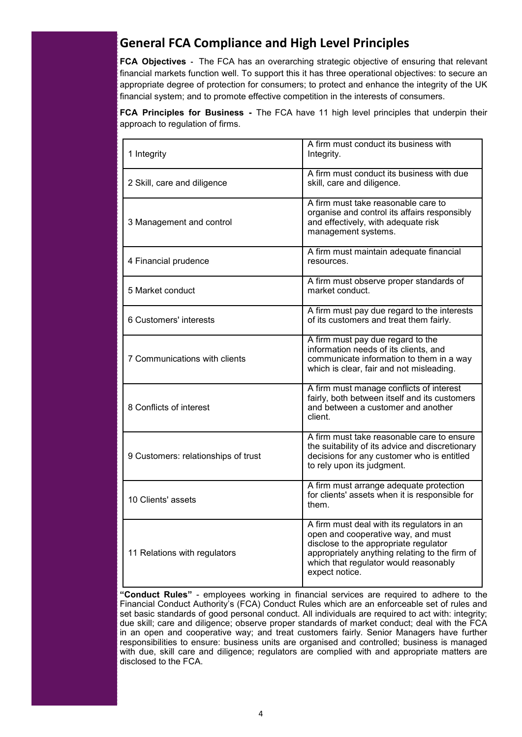## **General FCA Compliance and High Level Principles**

**FCA Objectives -** The FCA has an overarching strategic objective of ensuring that relevant financial markets function well. To support this it has three operational objectives: to secure an appropriate degree of protection for consumers; to protect and enhance the integrity of the UK financial system; and to promote effective competition in the interests of consumers.

**FCA Principles for Business -** The FCA have 11 high level principles that underpin their approach to regulation of firms.

| 1 Integrity                         | A firm must conduct its business with<br>Integrity.                                                                                                                                                                                    |
|-------------------------------------|----------------------------------------------------------------------------------------------------------------------------------------------------------------------------------------------------------------------------------------|
| 2 Skill, care and diligence         | A firm must conduct its business with due<br>skill, care and diligence.                                                                                                                                                                |
| 3 Management and control            | A firm must take reasonable care to<br>organise and control its affairs responsibly<br>and effectively, with adequate risk<br>management systems.                                                                                      |
| 4 Financial prudence                | A firm must maintain adequate financial<br>resources.                                                                                                                                                                                  |
| 5 Market conduct                    | A firm must observe proper standards of<br>market conduct.                                                                                                                                                                             |
| 6 Customers' interests              | A firm must pay due regard to the interests<br>of its customers and treat them fairly.                                                                                                                                                 |
| 7 Communications with clients       | A firm must pay due regard to the<br>information needs of its clients, and<br>communicate information to them in a way<br>which is clear, fair and not misleading.                                                                     |
| 8 Conflicts of interest             | A firm must manage conflicts of interest<br>fairly, both between itself and its customers<br>and between a customer and another<br>client                                                                                              |
| 9 Customers: relationships of trust | A firm must take reasonable care to ensure<br>the suitability of its advice and discretionary<br>decisions for any customer who is entitled<br>to rely upon its judgment.                                                              |
| 10 Clients' assets                  | A firm must arrange adequate protection<br>for clients' assets when it is responsible for<br>them.                                                                                                                                     |
| 11 Relations with regulators        | A firm must deal with its regulators in an<br>open and cooperative way, and must<br>disclose to the appropriate regulator<br>appropriately anything relating to the firm of<br>which that regulator would reasonably<br>expect notice. |

**"Conduct Rules"** - employees working in financial services are required to adhere to the Financial Conduct Authority's (FCA) Conduct Rules which are an enforceable set of rules and set basic standards of good personal conduct. All individuals are required to act with: integrity; due skill; care and diligence; observe proper standards of market conduct; deal with the FCA in an open and cooperative way; and treat customers fairly. Senior Managers have further responsibilities to ensure: business units are organised and controlled; business is managed with due, skill care and diligence; regulators are complied with and appropriate matters are disclosed to the FCA.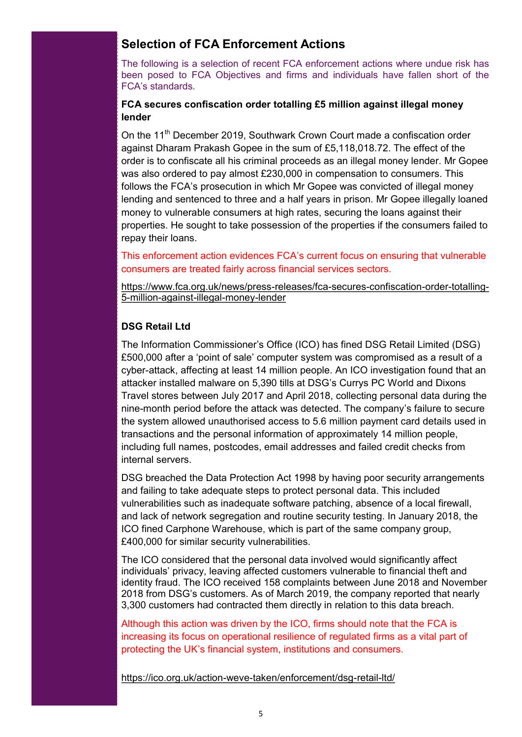### <span id="page-4-0"></span>**Selection of FCA Enforcement Actions**

The following is a selection of recent FCA enforcement actions where undue risk has been posed to FCA Objectives and firms and individuals have fallen short of the FCA's standards.

### **FCA secures confiscation order totalling £5 million against illegal money lender**

On the 11<sup>th</sup> December 2019, Southwark Crown Court made a confiscation order against Dharam Prakash Gopee in the sum of £5,118,018.72. The effect of the order is to confiscate all his criminal proceeds as an illegal money lender. Mr Gopee was also ordered to pay almost £230,000 in compensation to consumers. This follows the FCA's prosecution in which Mr Gopee was convicted of illegal money lending and sentenced to three and a half years in prison. Mr Gopee illegally loaned money to vulnerable consumers at high rates, securing the loans against their properties. He sought to take possession of the properties if the consumers failed to repay their loans.

This enforcement action evidences FCA's current focus on ensuring that vulnerable consumers are treated fairly across financial services sectors.

[https://www.fca.org.uk/news/press](https://www.fca.org.uk/news/press-releases/fca-secures-confiscation-order-totalling-5-million-against-illegal-money-lender)-releases/fca-secures-confiscation-order-totalling-5-million-[against](https://www.fca.org.uk/news/press-releases/fca-secures-confiscation-order-totalling-5-million-against-illegal-money-lender)-illegal-money-lender

### **DSG Retail Ltd**

The Information Commissioner's Office (ICO) has fined DSG Retail Limited (DSG) £500,000 after a 'point of sale' computer system was compromised as a result of a cyber-attack, affecting at least 14 million people. An ICO investigation found that an attacker installed malware on 5,390 tills at DSG's Currys PC World and Dixons Travel stores between July 2017 and April 2018, collecting personal data during the nine-month period before the attack was detected. The company's failure to secure the system allowed unauthorised access to 5.6 million payment card details used in transactions and the personal information of approximately 14 million people, including full names, postcodes, email addresses and failed credit checks from internal servers.

DSG breached the Data Protection Act 1998 by having poor security arrangements and failing to take adequate steps to protect personal data. This included vulnerabilities such as inadequate software patching, absence of a local firewall, and lack of network segregation and routine security testing. In January 2018, the ICO fined Carphone Warehouse, which is part of the same company group, £400,000 for similar security vulnerabilities.

The ICO considered that the personal data involved would significantly affect individuals' privacy, leaving affected customers vulnerable to financial theft and identity fraud. The ICO received 158 complaints between June 2018 and November 2018 from DSG's customers. As of March 2019, the company reported that nearly 3,300 customers had contracted them directly in relation to this data breach.

Although this action was driven by the ICO, firms should note that the FCA is increasing its focus on operational resilience of regulated firms as a vital part of protecting the UK's financial system, institutions and consumers.

[https://ico.org.uk/action](https://ico.org.uk/action-weve-taken/enforcement/dsg-retail-ltd/)-weve-taken/enforcement/dsg-retail-ltd/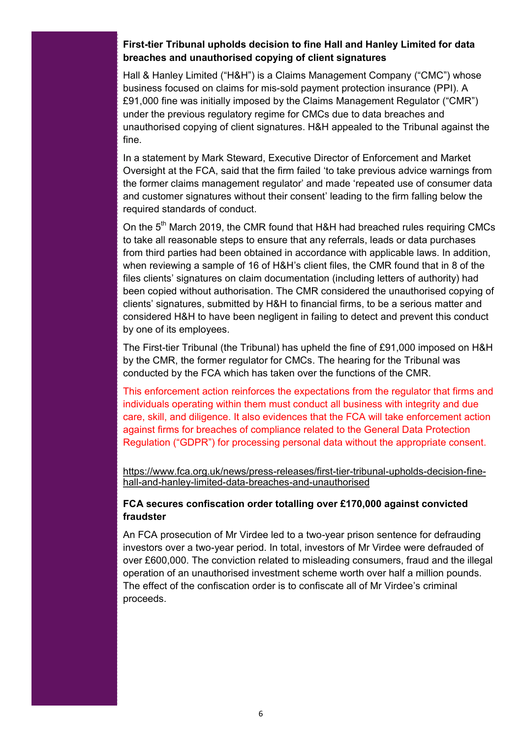#### **First-tier Tribunal upholds decision to fine Hall and Hanley Limited for data breaches and unauthorised copying of client signatures**

Hall & Hanley Limited ("H&H") is a Claims Management Company ("CMC") whose business focused on claims for mis-sold payment protection insurance (PPI). A £91,000 fine was initially imposed by the Claims Management Regulator ("CMR") under the previous regulatory regime for CMCs due to data breaches and unauthorised copying of client signatures. H&H appealed to the Tribunal against the fine.

In a statement by Mark Steward, Executive Director of Enforcement and Market Oversight at the FCA, said that the firm failed 'to take previous advice warnings from the former claims management regulator' and made 'repeated use of consumer data and customer signatures without their consent' leading to the firm falling below the required standards of conduct.

On the 5<sup>th</sup> March 2019, the CMR found that H&H had breached rules requiring CMCs to take all reasonable steps to ensure that any referrals, leads or data purchases from third parties had been obtained in accordance with applicable laws. In addition, when reviewing a sample of 16 of H&H's client files, the CMR found that in 8 of the files clients' signatures on claim documentation (including letters of authority) had been copied without authorisation. The CMR considered the unauthorised copying of clients' signatures, submitted by H&H to financial firms, to be a serious matter and considered H&H to have been negligent in failing to detect and prevent this conduct by one of its employees.

The First-tier Tribunal (the Tribunal) has upheld the fine of £91,000 imposed on H&H by the CMR, the former regulator for CMCs. The hearing for the Tribunal was conducted by the FCA which has taken over the functions of the CMR.

This enforcement action reinforces the expectations from the regulator that firms and individuals operating within them must conduct all business with integrity and due care, skill, and diligence. It also evidences that the FCA will take enforcement action against firms for breaches of compliance related to the General Data Protection Regulation ("GDPR") for processing personal data without the appropriate consent.

[https://www.fca.org.uk/news/press](https://www.fca.org.uk/news/press-releases/first-tier-tribunal-upholds-decision-fine-hall-and-hanley-limited-data-breaches-and-unauthorised)-releases/first-tier-tribunal-upholds-decision-finehall-and-hanley-limited-data-breaches-and-[unauthorised](https://www.fca.org.uk/news/press-releases/first-tier-tribunal-upholds-decision-fine-hall-and-hanley-limited-data-breaches-and-unauthorised)

#### **FCA secures confiscation order totalling over £170,000 against convicted fraudster**

An FCA prosecution of Mr Virdee led to a two-year prison sentence for defrauding investors over a two-year period. In total, investors of Mr Virdee were defrauded of over £600,000. The conviction related to misleading consumers, fraud and the illegal operation of an unauthorised investment scheme worth over half a million pounds. The effect of the confiscation order is to confiscate all of Mr Virdee's criminal proceeds.